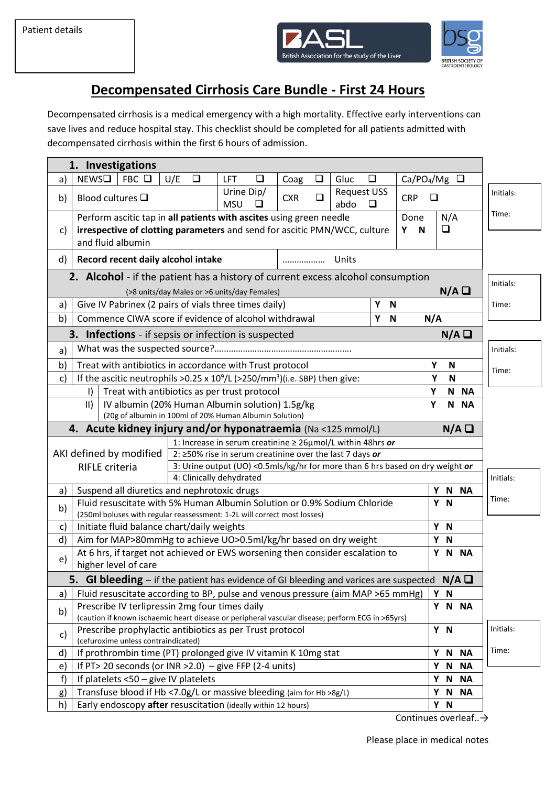



## **Decompensated Cirrhosis Care Bundle - First 24 Hours**

Decompensated cirrhosis is a medical emergency with a high mortality. Effective early interventions can save lives and reduce hospital stay. This checklist should be completed for all patients admitted with decompensated cirrhosis within the first 6 hours of admission.

|                                                                                                                                               | 1. Investigations                                                                                                                                                                                                |          |                                                                               |                      |                            |        |                      |                               |           |  |
|-----------------------------------------------------------------------------------------------------------------------------------------------|------------------------------------------------------------------------------------------------------------------------------------------------------------------------------------------------------------------|----------|-------------------------------------------------------------------------------|----------------------|----------------------------|--------|----------------------|-------------------------------|-----------|--|
| a)                                                                                                                                            | NEWSD<br>FBC                                                                                                                                                                                                     | U/E<br>❏ | LFT<br>❏                                                                      | Coag<br>❏            | Gluc                       | ❏      |                      | Ca/PO <sub>4</sub> /Mg $\Box$ |           |  |
| b)                                                                                                                                            | Blood cultures $\square$                                                                                                                                                                                         |          | Urine Dip/<br><b>MSU</b><br>□                                                 | $\Box$<br><b>CXR</b> | <b>Request USS</b><br>abdo | $\Box$ | <b>CRP</b><br>$\Box$ |                               | Initials: |  |
| C)                                                                                                                                            | Perform ascitic tap in all patients with ascites using green needle<br>N/A<br>Done<br>irrespective of clotting parameters and send for ascitic PMN/WCC, culture<br>❏<br>Υ<br>$\blacksquare$<br>and fluid albumin |          |                                                                               |                      |                            |        |                      |                               | Time:     |  |
| d)                                                                                                                                            | Record recent daily alcohol intake<br>Units<br>                                                                                                                                                                  |          |                                                                               |                      |                            |        |                      |                               |           |  |
| <b>2.</b> Alcohol - if the patient has a history of current excess alcohol consumption<br>N/A<br>(>8 units/day Males or >6 units/day Females) |                                                                                                                                                                                                                  |          |                                                                               |                      |                            |        |                      |                               |           |  |
| a)                                                                                                                                            | Give IV Pabrinex (2 pairs of vials three times daily)                                                                                                                                                            |          |                                                                               |                      |                            | Υ<br>N |                      |                               | Time:     |  |
| b)                                                                                                                                            | Commence CIWA score if evidence of alcohol withdrawal<br>N/A<br>Y<br>N                                                                                                                                           |          |                                                                               |                      |                            |        |                      |                               |           |  |
| N/A<br><b>3.</b> Infections - if sepsis or infection is suspected                                                                             |                                                                                                                                                                                                                  |          |                                                                               |                      |                            |        |                      |                               |           |  |
| a)                                                                                                                                            |                                                                                                                                                                                                                  |          |                                                                               |                      |                            |        |                      |                               | Initials: |  |
| b)                                                                                                                                            | Treat with antibiotics in accordance with Trust protocol<br>Y<br>${\bf N}$                                                                                                                                       |          |                                                                               |                      |                            |        |                      |                               | Time:     |  |
| $\mathsf{C}$                                                                                                                                  | If the ascitic neutrophils >0.25 x $10^9$ /L (>250/mm <sup>3</sup> )(i.e. SBP) then give:                                                                                                                        |          |                                                                               |                      |                            |        | Y                    | $\mathsf{N}$                  |           |  |
|                                                                                                                                               | Treat with antibiotics as per trust protocol<br>I)                                                                                                                                                               |          |                                                                               |                      |                            |        | Y                    | N NA                          |           |  |
|                                                                                                                                               | IV albumin (20% Human Albumin solution) 1.5g/kg<br>Y<br>$\parallel$<br>N NA                                                                                                                                      |          |                                                                               |                      |                            |        |                      |                               |           |  |
| (20g of albumin in 100ml of 20% Human Albumin Solution)                                                                                       |                                                                                                                                                                                                                  |          |                                                                               |                      |                            |        |                      |                               |           |  |
|                                                                                                                                               | 4. Acute kidney injury and/or hyponatraemia (Na <125 mmol/L)<br>N/A<br>1: Increase in serum creatinine $\geq 26 \mu$ mol/L within 48hrs or                                                                       |          |                                                                               |                      |                            |        |                      |                               |           |  |
|                                                                                                                                               | AKI defined by modified<br>2: $\geq$ 50% rise in serum creatinine over the last 7 days or                                                                                                                        |          |                                                                               |                      |                            |        |                      |                               |           |  |
|                                                                                                                                               | RIFLE criteria                                                                                                                                                                                                   |          | 3: Urine output (UO) <0.5mls/kg/hr for more than 6 hrs based on dry weight or |                      |                            |        |                      |                               |           |  |
|                                                                                                                                               |                                                                                                                                                                                                                  |          | 4: Clinically dehydrated                                                      |                      |                            |        |                      |                               | Initials: |  |
| a)                                                                                                                                            | Y N NA<br>Suspend all diuretics and nephrotoxic drugs                                                                                                                                                            |          |                                                                               |                      |                            |        |                      |                               | Time:     |  |
| b)                                                                                                                                            | Fluid resuscitate with 5% Human Albumin Solution or 0.9% Sodium Chloride<br>Y N                                                                                                                                  |          |                                                                               |                      |                            |        |                      |                               |           |  |
| c)                                                                                                                                            | (250ml boluses with regular reassessment: 1-2L will correct most losses)<br>Initiate fluid balance chart/daily weights                                                                                           |          |                                                                               |                      |                            |        |                      | Y N                           |           |  |
| d)                                                                                                                                            | Aim for MAP>80mmHg to achieve UO>0.5ml/kg/hr based on dry weight                                                                                                                                                 |          |                                                                               |                      |                            |        |                      | Y N                           |           |  |
| e)                                                                                                                                            | At 6 hrs, if target not achieved or EWS worsening then consider escalation to<br>higher level of care                                                                                                            |          |                                                                               |                      |                            |        |                      | Y N NA                        |           |  |
|                                                                                                                                               | <b>5.</b> GI bleeding – if the patient has evidence of GI bleeding and varices are suspected $N/A \square$                                                                                                       |          |                                                                               |                      |                            |        |                      |                               |           |  |
| a)                                                                                                                                            | Fluid resuscitate according to BP, pulse and venous pressure (aim MAP >65 mmHg)                                                                                                                                  |          |                                                                               |                      |                            |        |                      | Y N                           |           |  |
| b)                                                                                                                                            | Prescribe IV terlipressin 2mg four times daily                                                                                                                                                                   |          |                                                                               |                      |                            |        |                      | Y N NA                        |           |  |
| c)                                                                                                                                            | (caution if known ischaemic heart disease or peripheral vascular disease; perform ECG in >65yrs)<br>Prescribe prophylactic antibiotics as per Trust protocol<br>(cefuroxime unless contraindicated)              |          |                                                                               |                      |                            |        |                      | Y N                           | Initials: |  |
| d)                                                                                                                                            | If prothrombin time (PT) prolonged give IV vitamin K 10mg stat                                                                                                                                                   |          |                                                                               |                      |                            |        |                      | Y N NA                        | Time:     |  |
| e)                                                                                                                                            | If PT> 20 seconds (or INR > 2.0) - give FFP (2-4 units)                                                                                                                                                          |          |                                                                               |                      |                            |        |                      | Y N<br>ΝA                     |           |  |
| f)                                                                                                                                            | If platelets <50 - give IV platelets                                                                                                                                                                             |          |                                                                               |                      |                            |        |                      | Y N<br><b>NA</b>              |           |  |
| g)                                                                                                                                            | Transfuse blood if Hb <7.0g/L or massive bleeding (aim for Hb >8g/L)                                                                                                                                             |          |                                                                               |                      |                            |        |                      | Y N NA                        |           |  |
| h)                                                                                                                                            | Early endoscopy after resuscitation (ideally within 12 hours)                                                                                                                                                    |          |                                                                               |                      |                            |        |                      |                               |           |  |

Continues overleaf..→